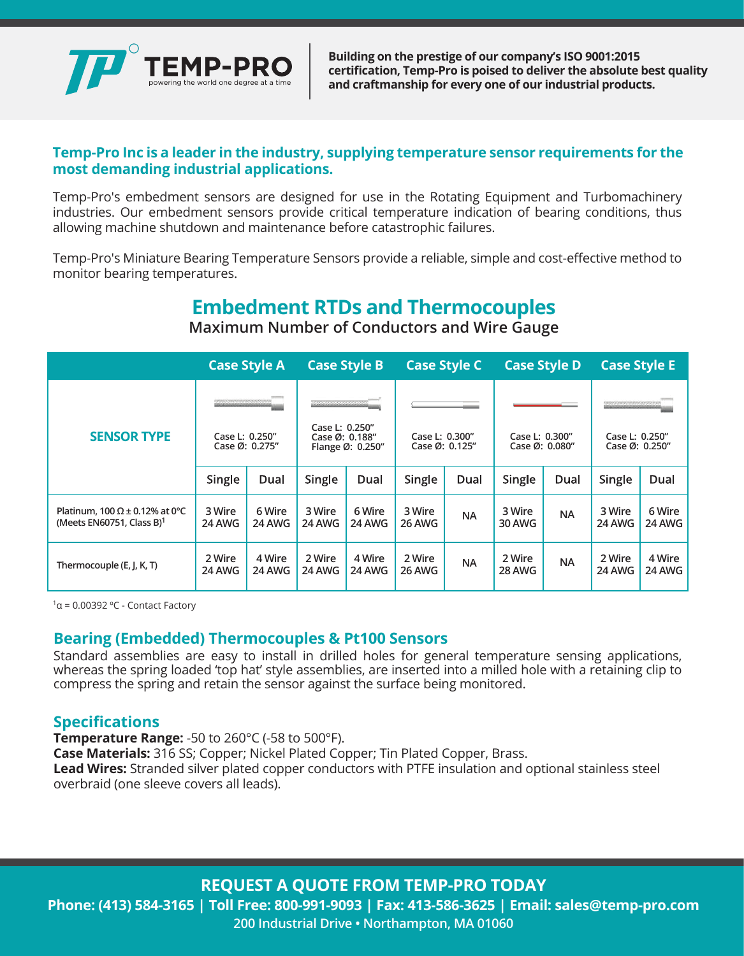

**Building on the prestige of our company's ISO 9001:2015 certification, Temp-Pro is poised to deliver the absolute best quality and craftmanship for every one of our industrial products.**

#### **Temp-Pro Inc is a leader in the industry, supplying temperature sensor requirements for the most demanding industrial applications.**

Temp-Pro's embedment sensors are designed for use in the Rotating Equipment and Turbomachinery industries. Our embedment sensors provide critical temperature indication of bearing conditions, thus allowing machine shutdown and maintenance before catastrophic failures.

Temp-Pro's Miniature Bearing Temperature Sensors provide a reliable, simple and cost-effective method to monitor bearing temperatures.

# **Embedment RTDs and Thermocouples**

**Maximum Number of Conductors and Wire Gauge**

|                                                                                   |                                  | <b>Case Style A</b> | <b>Case Style B</b>                                  |                  | <b>Case Style C</b>              |           | <b>Case Style D</b>              |           | <b>Case Style E</b>              |                  |
|-----------------------------------------------------------------------------------|----------------------------------|---------------------|------------------------------------------------------|------------------|----------------------------------|-----------|----------------------------------|-----------|----------------------------------|------------------|
|                                                                                   | فتجد ويوافقه والمراجع والمراجعة  |                     |                                                      |                  |                                  |           |                                  |           |                                  |                  |
| <b>SENSOR TYPE</b>                                                                | Case L: 0.250"<br>Case Ø: 0.275" |                     | Case L: 0.250"<br>Case Ø: 0.188"<br>Flange Ø: 0.250" |                  | Case L: 0.300"<br>Case Ø: 0.125" |           | Case L: 0.300"<br>Case Ø: 0.080" |           | Case L: 0.250"<br>Case Ø: 0.250" |                  |
|                                                                                   | Single                           | Dual                | Single                                               | Dual             | Single                           | Dual      | Single                           | Dual      | Single                           | Dual             |
| Platinum, 100 $\Omega$ ± 0.12% at 0°C<br>(Meets EN60751, Class $B$ ) <sup>1</sup> | 3 Wire<br>24 AWG                 | 6 Wire<br>24 AWG    | 3 Wire<br>24 AWG                                     | 6 Wire<br>24 AWG | 3 Wire<br>26 AWG                 | <b>NA</b> | 3 Wire<br>30 AWG                 | <b>NA</b> | 3 Wire<br>24 AWG                 | 6 Wire<br>24 AWG |
| Thermocouple (E, J, K, T)                                                         | 2 Wire<br>24 AWG                 | 4 Wire<br>24 AWG    | 2 Wire<br>24 AWG                                     | 4 Wire<br>24 AWG | 2 Wire<br>26 AWG                 | <b>NA</b> | 2 Wire<br>28 AWG                 | <b>NA</b> | 2 Wire<br>24 AWG                 | 4 Wire<br>24 AWG |

<sup>1</sup>α = 0.00392 °C - Contact Factory

#### **Bearing (Embedded) Thermocouples & Pt100 Sensors**

Standard assemblies are easy to install in drilled holes for general temperature sensing applications, whereas the spring loaded 'top hat' style assemblies, are inserted into a milled hole with a retaining clip to compress the spring and retain the sensor against the surface being monitored.

#### **Specifications**

**Temperature Range:** -50 to 260°C (-58 to 500°F).

**Case Materials:** 316 SS; Copper; Nickel Plated Copper; Tin Plated Copper, Brass.

**Lead Wires:** Stranded silver plated copper conductors with PTFE insulation and optional stainless steel overbraid (one sleeve covers all leads).

**REQUEST A QUOTE FROM TEMP-PRO TODAY**

**Phone: (413) 584-3165 | Toll Free: 800-991-9093 | Fax: 413-586-3625 | Email: sales@temp-pro.com 200 Industrial Drive • Northampton, MA 01060**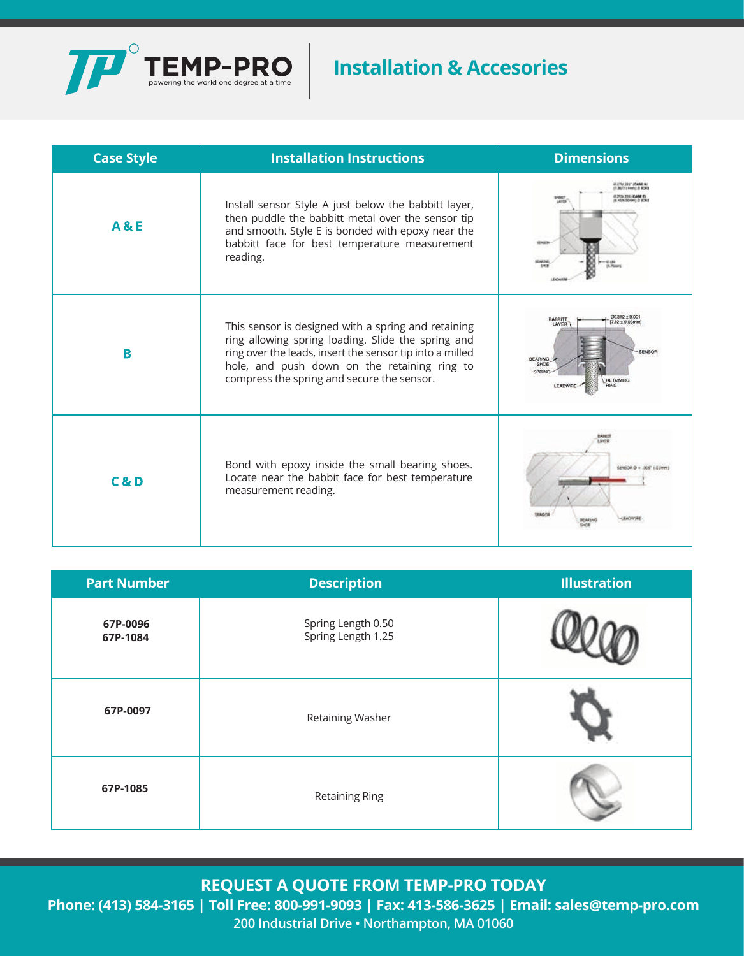

# **Installation & Accesories**

| <b>Case Style</b> | <b>Installation Instructions</b>                                                                                                                                                                                                                                    | <b>Dimensions</b>                                                                                                |  |  |
|-------------------|---------------------------------------------------------------------------------------------------------------------------------------------------------------------------------------------------------------------------------------------------------------------|------------------------------------------------------------------------------------------------------------------|--|--|
| <b>A&amp;E</b>    | Install sensor Style A just below the babbitt layer,<br>then puddle the babbitt metal over the sensor tip<br>and smooth. Style E is bonded with epoxy near the<br>babbitt face for best temperature measurement<br>reading.                                         | (7) 86-71 Lincoln & BOR<br>IS 29% 216 (CARE IT)<br>L KS/K SOmen) @ BOR                                           |  |  |
| B                 | This sensor is designed with a spring and retaining<br>ring allowing spring loading. Slide the spring and<br>ring over the leads, insert the sensor tip into a milled<br>hole, and push down on the retaining ring to<br>compress the spring and secure the sensor. | $7.92 + 0.02$<br>LAYER<br>SENSOR<br><b>BEARING</b><br>51474<br><b>RETAINING</b><br><b>DING</b><br><b>EADWIRD</b> |  |  |
| C & D             | Bond with epoxy inside the small bearing shoes.<br>Locate near the babbit face for best temperature<br>measurement reading.                                                                                                                                         | SENSOR @ + 305" ( \$1H)<br><b>SIMO'R</b>                                                                         |  |  |

| <b>Part Number</b>   | <b>Description</b>                       | <b>Illustration</b> |
|----------------------|------------------------------------------|---------------------|
| 67P-0096<br>67P-1084 | Spring Length 0.50<br>Spring Length 1.25 |                     |
| 67P-0097             | Retaining Washer                         |                     |
| 67P-1085             | <b>Retaining Ring</b>                    |                     |

**REQUEST A QUOTE FROM TEMP-PRO TODAY**

**Phone: (413) 584-3165 | Toll Free: 800-991-9093 | Fax: 413-586-3625 | Email: sales@temp-pro.com 200 Industrial Drive • Northampton, MA 01060**